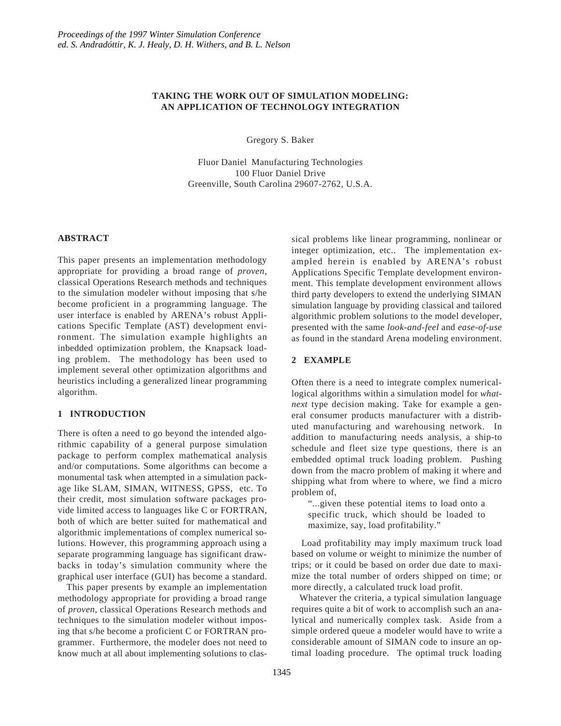# **TAKING THE WORK OUT OF SIMULATION MODELING: AN APPLICATION OF TECHNOLOGY INTEGRATION**

Gregory S. Baker

Fluor Daniel Manufacturing Technologies 100 Fluor Daniel Drive Greenville, South Carolina 29607-2762, U.S.A.

# **ABSTRACT**

This paper presents an implementation methodology appropriate for providing a broad range of *proven*, classical Operations Research methods and techniques to the simulation modeler without imposing that s/he become proficient in a programming language. The user interface is enabled by ARENA's robust Applications Specific Template (AST) development environment. The simulation example highlights an inbedded optimization problem, the Knapsack loading problem. The methodology has been used to implement several other optimization algorithms and heuristics including a generalized linear programming algorithm.

# **1 INTRODUCTION**

There is often a need to go beyond the intended algorithmic capability of a general purpose simulation package to perform complex mathematical analysis and/or computations. Some algorithms can become a monumental task when attempted in a simulation package like SLAM, SIMAN, WITNESS, GPSS, etc. To their credit, most simulation software packages provide limited access to languages like C or FORTRAN, both of which are better suited for mathematical and algorithmic implementations of complex numerical solutions. However, this programming approach using a separate programming language has significant drawbacks in today's simulation community where the graphical user interface (GUI) has become a standard.

 This paper presents by example an implementation methodology appropriate for providing a broad range of *proven*, classical Operations Research methods and techniques to the simulation modeler without imposing that s/he become a proficient C or FORTRAN programmer. Furthermore, the modeler does not need to know much at all about implementing solutions to classical problems like linear programming, nonlinear or integer optimization, etc.. The implementation exampled herein is enabled by ARENA's robust Applications Specific Template development environment. This template development environment allows third party developers to extend the underlying SIMAN simulation language by providing classical and tailored algorithmic problem solutions to the model developer, presented with the same *look-and-feel* and *ease-of-use* as found in the standard Arena modeling environment.

# **2 EXAMPLE**

Often there is a need to integrate complex numericallogical algorithms within a simulation model for *whatnext* type decision making. Take for example a general consumer products manufacturer with a distributed manufacturing and warehousing network. In addition to manufacturing needs analysis, a ship-to schedule and fleet size type questions, there is an embedded optimal truck loading problem. Pushing down from the macro problem of making it where and shipping what from where to where, we find a micro problem of,

"...given these potential items to load onto a specific truck, which should be loaded to maximize, say, load profitability."

 Load profitability may imply maximum truck load based on volume or weight to minimize the number of trips; or it could be based on order due date to maximize the total number of orders shipped on time; or more directly, a calculated truck load profit.

 Whatever the criteria, a typical simulation language requires quite a bit of work to accomplish such an analytical and numerically complex task. Aside from a simple ordered queue a modeler would have to write a considerable amount of SIMAN code to insure an optimal loading procedure. The optimal truck loading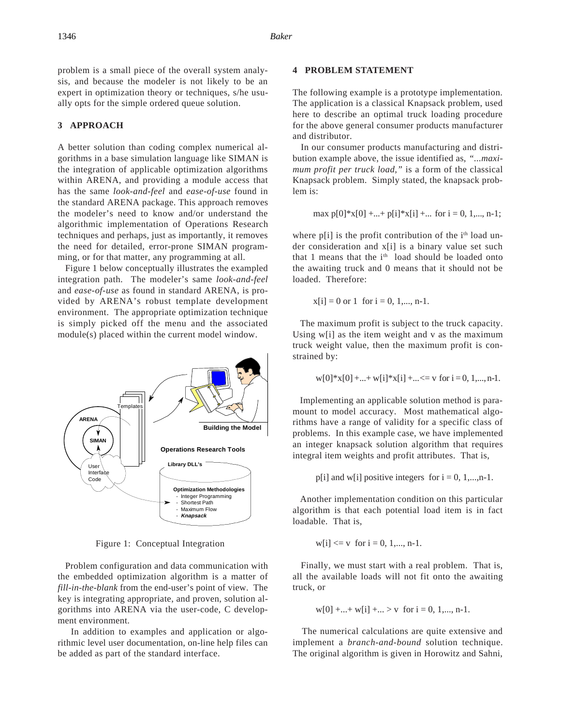problem is a small piece of the overall system analysis, and because the modeler is not likely to be an expert in optimization theory or techniques, s/he usually opts for the simple ordered queue solution.

#### **3 APPROACH**

A better solution than coding complex numerical algorithms in a base simulation language like SIMAN is the integration of applicable optimization algorithms within ARENA, and providing a module access that has the same *look-and-feel* and *ease-of-use* found in the standard ARENA package. This approach removes the modeler's need to know and/or understand the algorithmic implementation of Operations Research techniques and perhaps, just as importantly, it removes the need for detailed, error-prone SIMAN programming, or for that matter, any programming at all.

 Figure 1 below conceptually illustrates the exampled integration path. The modeler's same *look-and-feel* and *ease-of-use* as found in standard ARENA, is provided by ARENA's robust template development environment. The appropriate optimization technique is simply picked off the menu and the associated module(s) placed within the current model window.



Figure 1: Conceptual Integration

 Problem configuration and data communication with the embedded optimization algorithm is a matter of *fill-in-the-blank* from the end-user's point of view. The key is integrating appropriate, and proven, solution algorithms into ARENA via the user-code, C development environment.

In addition to examples and application or algorithmic level user documentation, on-line help files can be added as part of the standard interface.

# **4 PROBLEM STATEMENT**

The following example is a prototype implementation. The application is a classical Knapsack problem, used here to describe an optimal truck loading procedure for the above general consumer products manufacturer and distributor.

 In our consumer products manufacturing and distribution example above, the issue identified as, *"...maximum profit per truck load,"* is a form of the classical Knapsack problem. Simply stated, the knapsack problem is:

$$
\max p[0]*x[0] + ... + p[i]*x[i] + ... \text{ for } i = 0, 1, ..., n-1;
$$

where  $p[i]$  is the profit contribution of the  $i<sup>th</sup>$  load under consideration and x[i] is a binary value set such that 1 means that the i<sup>th</sup> load should be loaded onto the awaiting truck and 0 means that it should not be loaded. Therefore:

$$
x[i] = 0
$$
 or 1 for  $i = 0, 1, \ldots, n-1$ .

 The maximum profit is subject to the truck capacity. Using w[i] as the item weight and v as the maximum truck weight value, then the maximum profit is constrained by:

$$
w[0]*x[0] + ... + w[i]*x[i] + ... \le v
$$
 for  $i = 0, 1, ..., n-1$ .

 Implementing an applicable solution method is paramount to model accuracy. Most mathematical algorithms have a range of validity for a specific class of problems. In this example case, we have implemented an integer knapsack solution algorithm that requires integral item weights and profit attributes. That is,

 $p[i]$  and w[i] positive integers for  $i = 0, 1, \ldots, n-1$ .

 Another implementation condition on this particular algorithm is that each potential load item is in fact loadable. That is,

$$
w[i] \leq v
$$
 for  $i = 0, 1, \ldots, n-1$ .

 Finally, we must start with a real problem. That is, all the available loads will not fit onto the awaiting truck, or

$$
w[0] + ... + w[i] + ... > v
$$
 for  $i = 0, 1, ..., n-1$ .

 The numerical calculations are quite extensive and implement a *branch-and-bound* solution technique. The original algorithm is given in Horowitz and Sahni,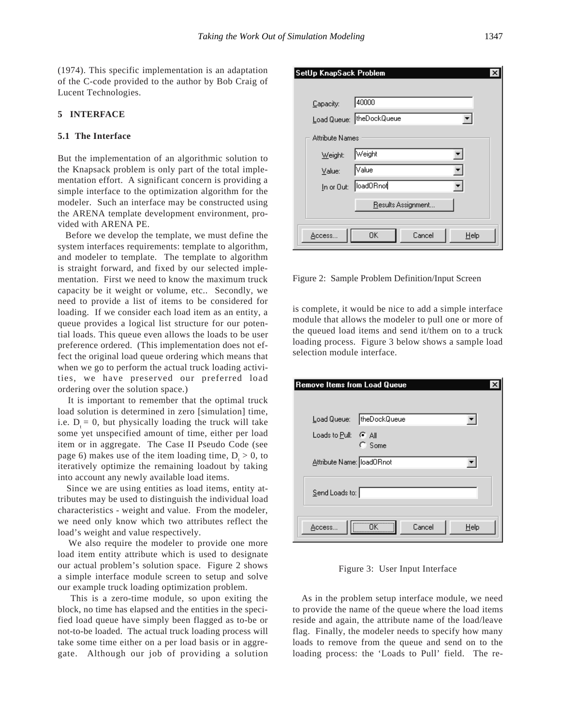(1974). This specific implementation is an adaptation of the C-code provided to the author by Bob Craig of Lucent Technologies.

### **5 INTERFACE**

# **5.1 The Interface**

But the implementation of an algorithmic solution to the Knapsack problem is only part of the total implementation effort. A significant concern is providing a simple interface to the optimization algorithm for the modeler. Such an interface may be constructed using the ARENA template development environment, provided with ARENA PE.

 Before we develop the template, we must define the system interfaces requirements: template to algorithm, and modeler to template. The template to algorithm is straight forward, and fixed by our selected implementation. First we need to know the maximum truck capacity be it weight or volume, etc.. Secondly, we need to provide a list of items to be considered for loading. If we consider each load item as an entity, a queue provides a logical list structure for our potential loads. This queue even allows the loads to be user preference ordered. (This implementation does not effect the original load queue ordering which means that when we go to perform the actual truck loading activities, we have preserved our preferred load ordering over the solution space.)

 It is important to remember that the optimal truck load solution is determined in zero [simulation] time, i.e.  $D_t = 0$ , but physically loading the truck will take some yet unspecified amount of time, either per load item or in aggregate. The Case II Pseudo Code (see page 6) makes use of the item loading time,  $D_t > 0$ , to iteratively optimize the remaining loadout by taking into account any newly available load items.

 Since we are using entities as load items, entity attributes may be used to distinguish the individual load characteristics - weight and value. From the modeler, we need only know which two attributes reflect the load's weight and value respectively.

 We also require the modeler to provide one more load item entity attribute which is used to designate our actual problem's solution space. Figure 2 shows a simple interface module screen to setup and solve our example truck loading optimization problem.

 This is a zero-time module, so upon exiting the block, no time has elapsed and the entities in the specified load queue have simply been flagged as to-be or not-to-be loaded. The actual truck loading process will take some time either on a per load basis or in aggregate. Although our job of providing a solution

| SetUp KnapSack Problem |                            |      |
|------------------------|----------------------------|------|
|                        |                            |      |
| Capacity:              | 40000                      |      |
|                        | Load Queue:   theDockQueue |      |
| <b>Attribute Names</b> |                            |      |
| Weight:                | Weight                     |      |
| Value:                 | Value                      |      |
|                        | In or Out:   load0Rnot     |      |
|                        | Results Assignment         |      |
| Access                 | Cancel<br>0K               | Help |

Figure 2: Sample Problem Definition/Input Screen

is complete, it would be nice to add a simple interface module that allows the modeler to pull one or more of the queued load items and send it/them on to a truck loading process. Figure 3 below shows a sample load selection module interface.

| Remove Items from Load Queue |              |        |      |  |
|------------------------------|--------------|--------|------|--|
|                              |              |        |      |  |
| Load Queue:                  | theDockQueue |        |      |  |
| Loads to Pull: G All         | $C$ Some     |        |      |  |
| Attribute Name: loadORnot    |              |        |      |  |
| $Send$ Loads to:             |              |        |      |  |
| Access                       |              | Cancel | Help |  |

Figure 3: User Input Interface

 As in the problem setup interface module, we need to provide the name of the queue where the load items reside and again, the attribute name of the load/leave flag. Finally, the modeler needs to specify how many loads to remove from the queue and send on to the loading process: the 'Loads to Pull' field. The re-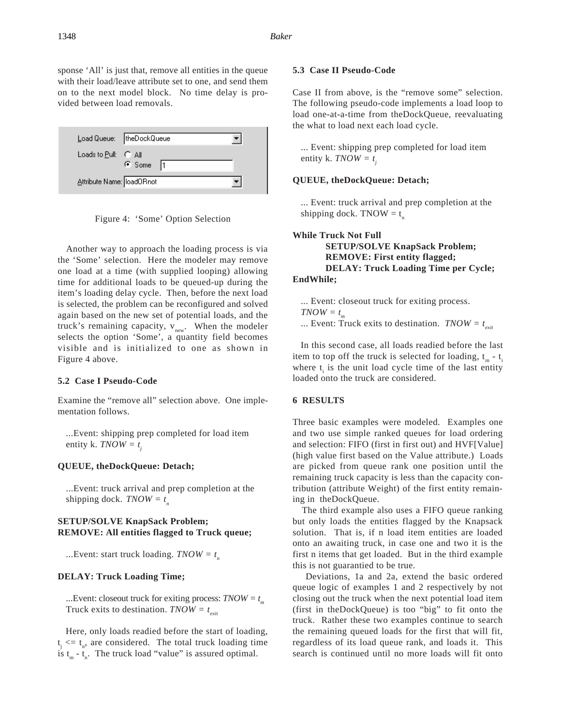sponse 'All' is just that, remove all entities in the queue with their load/leave attribute set to one, and send them on to the next model block. No time delay is provided between load removals.





 Another way to approach the loading process is via the 'Some' selection. Here the modeler may remove one load at a time (with supplied looping) allowing time for additional loads to be queued-up during the item's loading delay cycle. Then, before the next load is selected, the problem can be reconfigured and solved again based on the new set of potential loads, and the truck's remaining capacity,  $v_{new}$ . When the modeler selects the option 'Some', a quantity field becomes visible and is initialized to one as shown in Figure 4 above.

#### **5.2 Case I Pseudo-Code**

Examine the "remove all" selection above. One implementation follows.

...Event: shipping prep completed for load item entity k. *TNOW* =  $t_i$ 

#### **QUEUE, theDockQueue: Detach;**

...Event: truck arrival and prep completion at the shipping dock.  $T\text{NOW} = t_n$ 

## **SETUP/SOLVE KnapSack Problem; REMOVE: All entities flagged to Truck queue;**

...Event: start truck loading.  $T NOW = t_n$ 

#### **DELAY: Truck Loading Time;**

...Event: closeout truck for exiting process: *TNOW = t m* Truck exits to destination.  $T NOW = t_{crit}$ 

 Here, only loads readied before the start of loading,  $t_j \leq t_n$ , are considered. The total truck loading time is  $t_m - t_n$ . The truck load "value" is assured optimal.

# **5.3 Case II Pseudo-Code**

Case II from above, is the "remove some" selection. The following pseudo-code implements a load loop to load one-at-a-time from theDockQueue, reevaluating the what to load next each load cycle.

... Event: shipping prep completed for load item entity k. *TNOW* =  $t_i$ 

#### **QUEUE, theDockQueue: Detach;**

... Event: truck arrival and prep completion at the shipping dock. TNOW  $=t_{\text{n}}$ 

# **While Truck Not Full SETUP/SOLVE KnapSack Problem; REMOVE: First entity flagged; DELAY: Truck Loading Time per Cycle; EndWhile;**

... Event: closeout truck for exiting process.  $TNOWLEDW = t_m$ ... Event: Truck exits to destination.  $T NOW = t_{\text{crit}}$ 

 In this second case, all loads readied before the last item to top off the truck is selected for loading,  $t_m - t$ . where  $t_i$  is the unit load cycle time of the last entity loaded onto the truck are considered.

# **6 RESULTS**

Three basic examples were modeled. Examples one and two use simple ranked queues for load ordering and selection: FIFO (first in first out) and HVF[Value] (high value first based on the Value attribute.) Loads are picked from queue rank one position until the remaining truck capacity is less than the capacity contribution (attribute Weight) of the first entity remaining in theDockQueue.

 The third example also uses a FIFO queue ranking but only loads the entities flagged by the Knapsack solution. That is, if n load item entities are loaded onto an awaiting truck, in case one and two it is the first n items that get loaded. But in the third example this is not guarantied to be true.

 Deviations, 1a and 2a, extend the basic ordered queue logic of examples 1 and 2 respectively by not closing out the truck when the next potential load item (first in theDockQueue) is too "big" to fit onto the truck. Rather these two examples continue to search the remaining queued loads for the first that will fit, regardless of its load queue rank, and loads it. This search is continued until no more loads will fit onto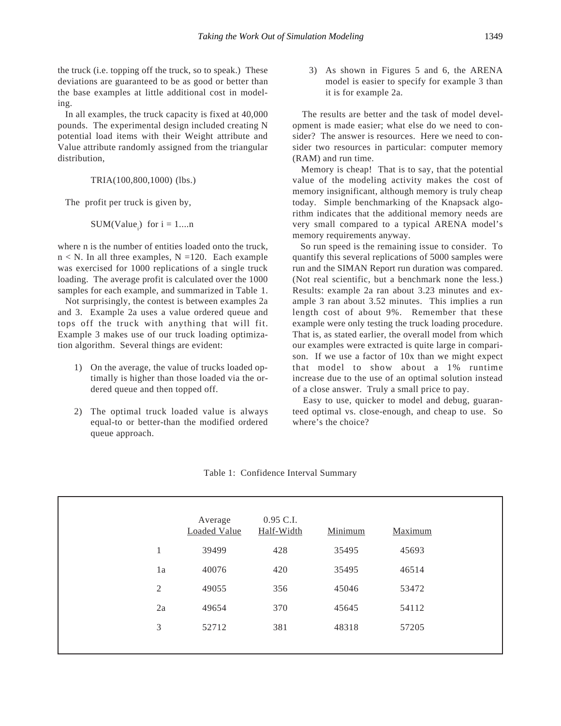the truck (i.e. topping off the truck, so to speak.) These deviations are guaranteed to be as good or better than the base examples at little additional cost in modeling.

 In all examples, the truck capacity is fixed at 40,000 pounds. The experimental design included creating N potential load items with their Weight attribute and Value attribute randomly assigned from the triangular distribution,

TRIA(100,800,1000) (lbs.)

The profit per truck is given by,

 $SUM(Value_{i})$  for  $i = 1...n$ 

where n is the number of entities loaded onto the truck,  $n < N$ . In all three examples,  $N = 120$ . Each example was exercised for 1000 replications of a single truck loading. The average profit is calculated over the 1000 samples for each example, and summarized in Table 1.

 Not surprisingly, the contest is between examples 2a and 3. Example 2a uses a value ordered queue and tops off the truck with anything that will fit. Example 3 makes use of our truck loading optimization algorithm. Several things are evident:

- 1) On the average, the value of trucks loaded optimally is higher than those loaded via the ordered queue and then topped off.
- 2) The optimal truck loaded value is always equal-to or better-than the modified ordered queue approach.

3) As shown in Figures 5 and 6, the ARENA model is easier to specify for example 3 than it is for example 2a.

 The results are better and the task of model development is made easier; what else do we need to consider? The answer is resources. Here we need to consider two resources in particular: computer memory (RAM) and run time.

 Memory is cheap! That is to say, that the potential value of the modeling activity makes the cost of memory insignificant, although memory is truly cheap today. Simple benchmarking of the Knapsack algorithm indicates that the additional memory needs are very small compared to a typical ARENA model's memory requirements anyway.

 So run speed is the remaining issue to consider. To quantify this several replications of 5000 samples were run and the SIMAN Report run duration was compared. (Not real scientific, but a benchmark none the less.) Results: example 2a ran about 3.23 minutes and example 3 ran about 3.52 minutes. This implies a run length cost of about 9%. Remember that these example were only testing the truck loading procedure. That is, as stated earlier, the overall model from which our examples were extracted is quite large in comparison. If we use a factor of 10x than we might expect that model to show about a 1% runtime increase due to the use of an optimal solution instead of a close answer. Truly a small price to pay.

 Easy to use, quicker to model and debug, guaranteed optimal vs. close-enough, and cheap to use. So where's the choice?

|                | Average<br>Loaded Value | 0.95 C.I.<br>Half-Width | Minimum | Maximum |
|----------------|-------------------------|-------------------------|---------|---------|
| $\mathbf{1}$   | 39499                   | 428                     | 35495   | 45693   |
| 1a             | 40076                   | 420                     | 35495   | 46514   |
| $\mathfrak{2}$ | 49055                   | 356                     | 45046   | 53472   |
| 2a             | 49654                   | 370                     | 45645   | 54112   |
| 3              | 52712                   | 381                     | 48318   | 57205   |
|                |                         |                         |         |         |

Table 1: Confidence Interval Summary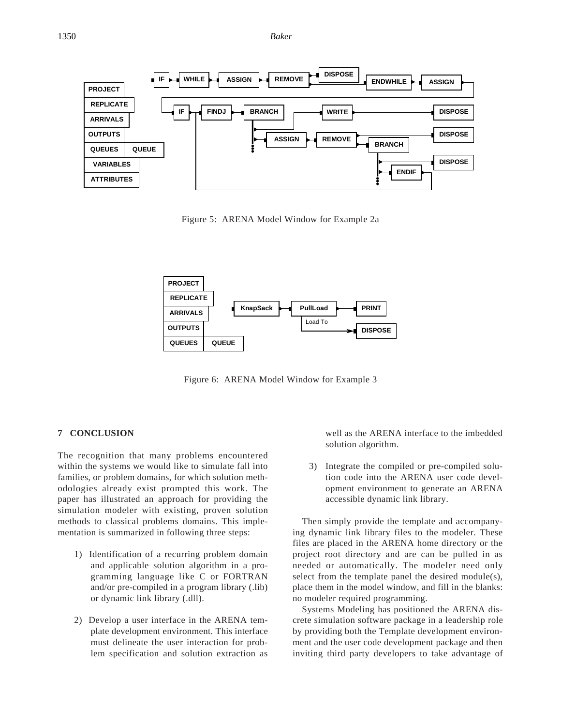

Figure 5: ARENA Model Window for Example 2a



Figure 6: ARENA Model Window for Example 3

## **7 CONCLUSION**

The recognition that many problems encountered within the systems we would like to simulate fall into families, or problem domains, for which solution methodologies already exist prompted this work. The paper has illustrated an approach for providing the simulation modeler with existing, proven solution methods to classical problems domains. This implementation is summarized in following three steps:

- 1) Identification of a recurring problem domain and applicable solution algorithm in a programming language like C or FORTRAN and/or pre-compiled in a program library (.lib) or dynamic link library (.dll).
- 2) Develop a user interface in the ARENA template development environment. This interface must delineate the user interaction for problem specification and solution extraction as

well as the ARENA interface to the imbedded solution algorithm.

3) Integrate the compiled or pre-compiled solution code into the ARENA user code development environment to generate an ARENA accessible dynamic link library.

 Then simply provide the template and accompanying dynamic link library files to the modeler. These files are placed in the ARENA home directory or the project root directory and are can be pulled in as needed or automatically. The modeler need only select from the template panel the desired module(s), place them in the model window, and fill in the blanks: no modeler required programming.

 Systems Modeling has positioned the ARENA discrete simulation software package in a leadership role by providing both the Template development environment and the user code development package and then inviting third party developers to take advantage of